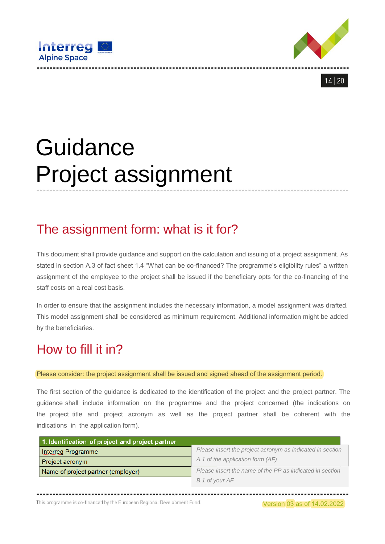





# **Guidance** Project assignment

## The assignment form: what is it for?

This document shall provide guidance and support on the calculation and issuing of a project assignment. As stated in section A.3 of fact sheet 1.4 "What can be co-financed? The programme's eligibility rules" a written assignment of the employee to the project shall be issued if the beneficiary opts for the co-financing of the staff costs on a real cost basis.

In order to ensure that the assignment includes the necessary information, a model assignment was drafted. This model assignment shall be considered as minimum requirement. Additional information might be added by the beneficiaries.

## How to fill it in?

Please consider: the project assignment shall be issued and signed ahead of the assignment period.

The first section of the guidance is dedicated to the identification of the project and the project partner. The guidance shall include information on the programme and the project concerned (the indications on the project title and project acronym as well as the project partner shall be coherent with the indications in the application form).

| 1. Identification of project and project partner |                                                           |
|--------------------------------------------------|-----------------------------------------------------------|
| Interreg Programme                               | Please insert the project acronym as indicated in section |
| Project acronym                                  | A.1 of the application form (AF)                          |
| Name of project partner (employer)               | Please insert the name of the PP as indicated in section  |
|                                                  | B.1 of your AF                                            |

...............

This programme is co-financed by the European Regional Development Fund.

Version 03 as of 14.02.2022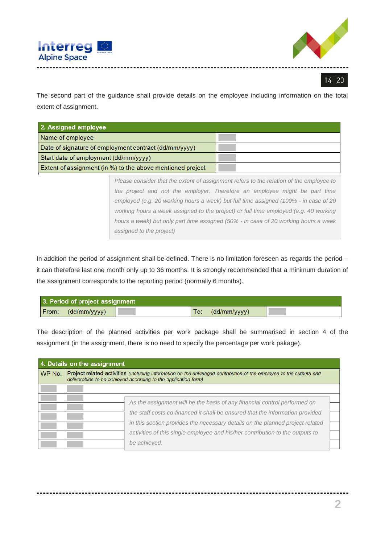



The second part of the guidance shall provide details on the employee including information on the total extent of assignment.

| 2. Assigned employee                                       |                                                                                         |
|------------------------------------------------------------|-----------------------------------------------------------------------------------------|
| Name of employee                                           |                                                                                         |
| Date of signature of employment contract (dd/mm/yyyy)      |                                                                                         |
| Start date of employment (dd/mm/yyyy)                      |                                                                                         |
| Extent of assignment (in %) to the above mentioned project |                                                                                         |
|                                                            | Please consider that the extent of assignment refers to the relation of the employee to |

*the project and not the employer. Therefore an employee might be part time employed (e.g. 20 working hours a week) but full time assigned (100% - in case of 20 working hours a week assigned to the project) or full time employed (e.g. 40 working hours a week) but only part time assigned (50% - in case of 20 working hours a week assigned to the project)*

In addition the period of assignment shall be defined. There is no limitation foreseen as regards the period – it can therefore last one month only up to 36 months. It is strongly recommended that a minimum duration of the assignment corresponds to the reporting period (normally 6 months).

| 3. Period of project assignment |                     |  |
|---------------------------------|---------------------|--|
| From: (dd/mm/yyyy)              | (dd/mm/yyyy)<br>To: |  |

The description of the planned activities per work package shall be summarised in section 4 of the assignment (in the assignment, there is no need to specify the percentage per work pakage).

|        | 4. Details on the assignment                                                                                                                                                                                                                                                                                                                 |  |
|--------|----------------------------------------------------------------------------------------------------------------------------------------------------------------------------------------------------------------------------------------------------------------------------------------------------------------------------------------------|--|
| WP No. | Project related activities (including information on the envisaged contribution of the employee to the outputs and<br>deliverables to be achieved according to the application form)                                                                                                                                                         |  |
|        |                                                                                                                                                                                                                                                                                                                                              |  |
|        | As the assignment will be the basis of any financial control performed on<br>the staff costs co-financed it shall be ensured that the information provided<br>in this section provides the necessary details on the planned project related<br>activities of this single employee and his/her contribution to the outputs to<br>be achieved. |  |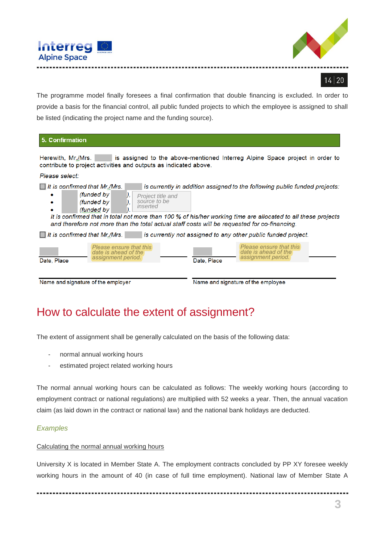



The programme model finally foresees a final confirmation that double financing is excluded. In order to provide a basis for the financial control, all public funded projects to which the employee is assigned to shall be listed (indicating the project name and the funding source).

| 5. Confirmation                                                                                                                                                                                                          |                                                                                                                                                                                             |
|--------------------------------------------------------------------------------------------------------------------------------------------------------------------------------------------------------------------------|---------------------------------------------------------------------------------------------------------------------------------------------------------------------------------------------|
| Herewith, Mr./Mrs.<br>contribute to project activities and outputs as indicated above.                                                                                                                                   | is assigned to the above-mentioned Interreg Alpine Space project in order to                                                                                                                |
| Please select:                                                                                                                                                                                                           |                                                                                                                                                                                             |
| It is confirmed that Mr./Mrs.<br>(funded by<br>Project title and<br>source to be<br>(funded by<br>inserted<br>(funded by<br>and therefore not more than the total actual staff costs will be requested for co-financing. | is currently in addition assigned to the following public funded projects:<br>It is confirmed that in total not more than 100 % of his/her working time are allocated to all these projects |
| It is confirmed that Mr./Mrs.                                                                                                                                                                                            | is currently not assigned to any other public funded project.                                                                                                                               |
| Please ensure that this<br>date is ahead of the<br>assignment period.<br>Date, Place                                                                                                                                     | Please ensure that this<br>date is ahead of the<br>assignment period.<br>Date, Place                                                                                                        |
| Name and signature of the employer                                                                                                                                                                                       | Name and signature of the employee                                                                                                                                                          |

### How to calculate the extent of assignment?

The extent of assignment shall be generally calculated on the basis of the following data:

- normal annual working hours
- estimated project related working hours

The normal annual working hours can be calculated as follows: The weekly working hours (according to employment contract or national regulations) are multiplied with 52 weeks a year. Then, the annual vacation claim (as laid down in the contract or national law) and the national bank holidays are deducted.

#### *Examples*

#### Calculating the normal annual working hours

University X is located in Member State A. The employment contracts concluded by PP XY foresee weekly working hours in the amount of 40 (in case of full time employment). National law of Member State A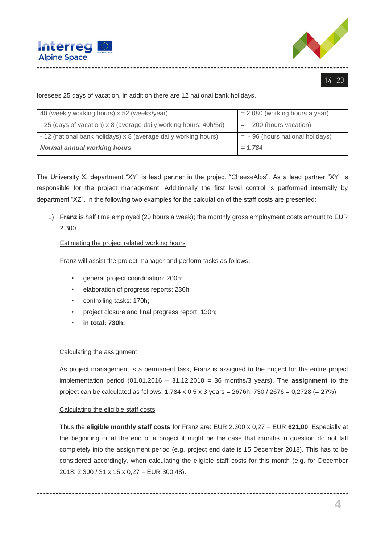



foresees 25 days of vacation, in addition there are 12 national bank holidays.

| 40 (weekly working hours) x 52 (weeks/year)                       | $= 2.080$ (working hours a year)  |
|-------------------------------------------------------------------|-----------------------------------|
| - 25 (days of vacation) x 8 (average daily working hours: 40h/5d) | $= -200$ (hours vacation)         |
| - 12 (national bank holidays) x 8 (average daily working hours)   | $= -96$ (hours national holidays) |
| <b>Normal annual working hours</b>                                | $= 1.784$                         |

The University X, department "XY" is lead partner in the project "CheeseAlps". As a lead partner "XY" is responsible for the project management. Additionally the first level control is performed internally by department "XZ". In the following two examples for the calculation of the staff costs are presented:

1) **Franz** is half time employed (20 hours a week); the monthly gross employment costs amount to EUR 2.300.

#### Estimating the project related working hours

Franz will assist the project manager and perform tasks as follows:

- general project coordination: 200h;
- elaboration of progress reports: 230h;
- controlling tasks: 170h;
- project closure and final progress report: 130h;
- **in total: 730h;**

#### Calculating the assignment

As project management is a permanent task, Franz is assigned to the project for the entire project implementation period (01.01.2016 – 31.12.2018 = 36 months/3 years). The **assignment** to the project can be calculated as follows: 1.784 x 0,5 x 3 years = 2676h; 730 / 2676 = 0,2728 (= **27**%)

#### Calculating the eligible staff costs

Thus the **eligible monthly staff costs** for Franz are: EUR 2.300 x 0,27 = EUR **621,00**. Especially at the beginning or at the end of a project it might be the case that months in question do not fall completely into the assignment period (e.g. project end date is 15 December 2018). This has to be considered accordingly, when calculating the eligible staff costs for this month (e.g. for December 2018: 2.300 / 31 x 15 x 0,27 = EUR 300,48).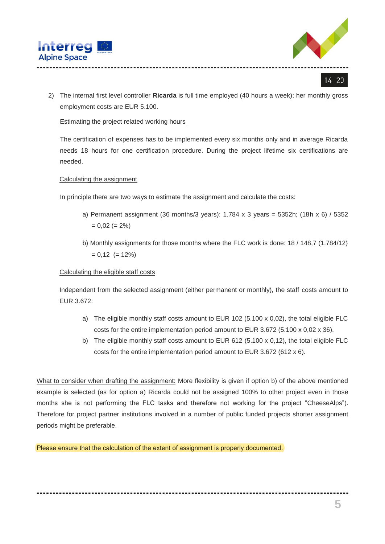



2) The internal first level controller **Ricarda** is full time employed (40 hours a week); her monthly gross employment costs are EUR 5.100.

#### Estimating the project related working hours

The certification of expenses has to be implemented every six months only and in average Ricarda needs 18 hours for one certification procedure. During the project lifetime six certifications are needed.

#### Calculating the assignment

In principle there are two ways to estimate the assignment and calculate the costs:

- a) Permanent assignment (36 months/3 years): 1.784 x 3 years = 5352h; (18h x 6) / 5352  $= 0.02 (= 2\%)$
- b) Monthly assignments for those months where the FLC work is done: 18 / 148,7 (1.784/12)  $= 0,12 (= 12\%)$

#### Calculating the eligible staff costs

Independent from the selected assignment (either permanent or monthly), the staff costs amount to EUR 3.672:

- a) The eligible monthly staff costs amount to EUR 102 (5.100  $\times$  0,02), the total eligible FLC costs for the entire implementation period amount to EUR 3.672 (5.100 x 0,02 x 36).
- b) The eligible monthly staff costs amount to EUR 612 (5.100 x 0,12), the total eligible FLC costs for the entire implementation period amount to EUR 3.672 (612 x 6).

What to consider when drafting the assignment: More flexibility is given if option b) of the above mentioned example is selected (as for option a) Ricarda could not be assigned 100% to other project even in those months she is not performing the FLC tasks and therefore not working for the project "CheeseAlps"). Therefore for project partner institutions involved in a number of public funded projects shorter assignment periods might be preferable.

Please ensure that the calculation of the extent of assignment is properly documented.